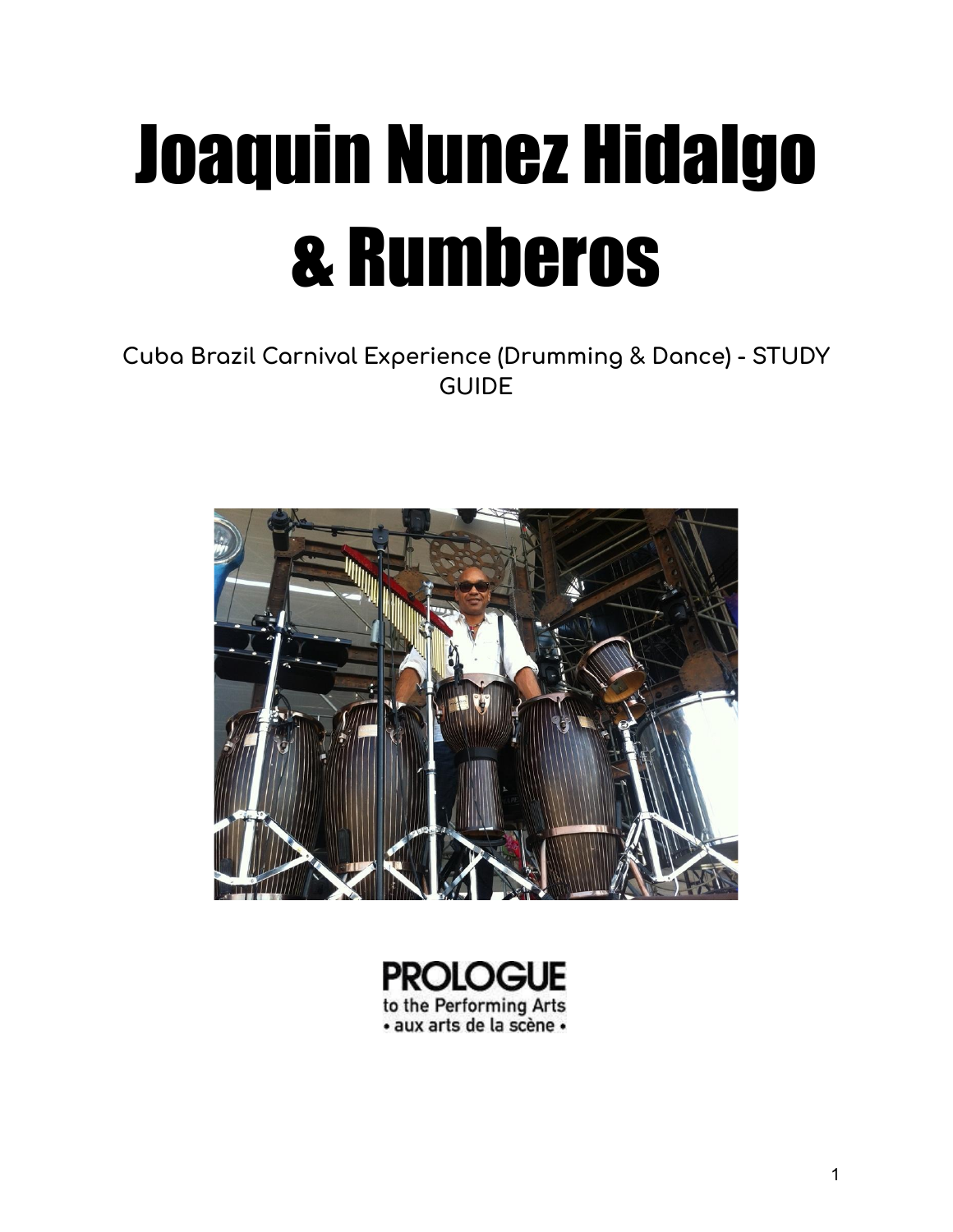# Joaquin Nunez Hidalgo & Rumberos

### **Cuba Brazil Carnival Experience (Drumming & Dance) - STUDY GUIDE**



![](_page_0_Picture_3.jpeg)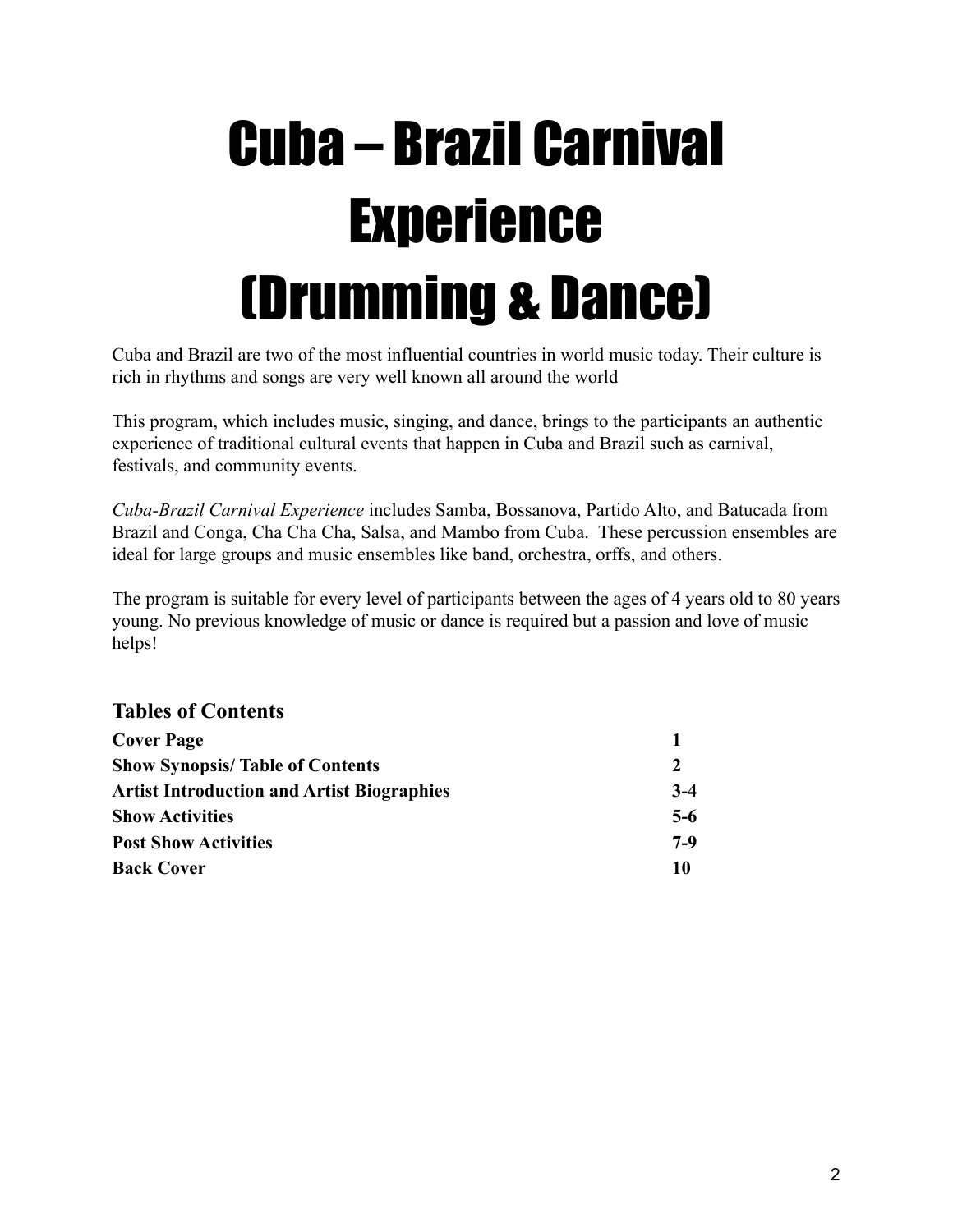### Cuba – Brazil Carnival Experience (Drumming & Dance)

Cuba and Brazil are two of the most influential countries in world music today. Their culture is rich in rhythms and songs are very well known all around the world

This program, which includes music, singing, and dance, brings to the participants an authentic experience of traditional cultural events that happen in Cuba and Brazil such as carnival, festivals, and community events.

*Cuba-Brazil Carnival Experience* includes Samba, Bossanova, Partido Alto, and Batucada from Brazil and Conga, Cha Cha Cha, Salsa, and Mambo from Cuba. These percussion ensembles are ideal for large groups and music ensembles like band, orchestra, orffs, and others.

The program is suitable for every level of participants between the ages of 4 years old to 80 years young. No previous knowledge of music or dance is required but a passion and love of music helps!

#### **Tables of Contents**

| <b>Cover Page</b>                                 |       |
|---------------------------------------------------|-------|
| <b>Show Synopsis/Table of Contents</b>            | 2     |
| <b>Artist Introduction and Artist Biographies</b> | $3-4$ |
| <b>Show Activities</b>                            | $5-6$ |
| <b>Post Show Activities</b>                       | $7-9$ |
| <b>Back Cover</b>                                 | 10    |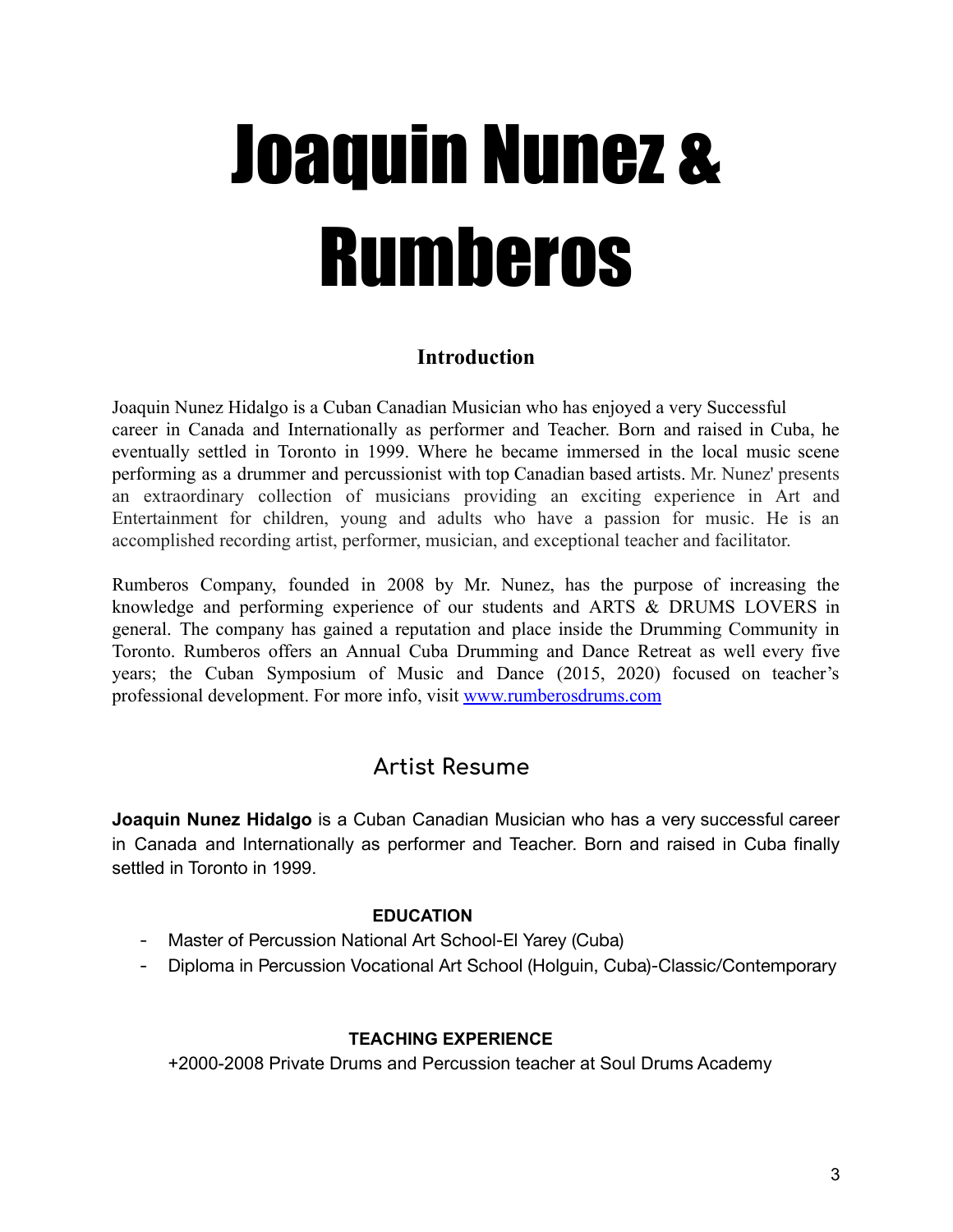# Joaquin Nunez & Rumberos

#### **Introduction**

Joaquin Nunez Hidalgo is a Cuban Canadian Musician who has enjoyed a very Successful career in Canada and Internationally as performer and Teacher. Born and raised in Cuba, he eventually settled in Toronto in 1999. Where he became immersed in the local music scene performing as a drummer and percussionist with top Canadian based artists. Mr. Nunez' presents an extraordinary collection of musicians providing an exciting experience in Art and Entertainment for children, young and adults who have a passion for music. He is an accomplished recording artist, performer, musician, and exceptional teacher and facilitator.

Rumberos Company, founded in 2008 by Mr. Nunez, has the purpose of increasing the knowledge and performing experience of our students and ARTS & DRUMS LOVERS in general. The company has gained a reputation and place inside the Drumming Community in Toronto. Rumberos offers an Annual Cuba Drumming and Dance Retreat as well every five years; the Cuban Symposium of Music and Dance (2015, 2020) focused on teacher's professional development. For more info, visit [www.rumberosdrums.com](http://www.rumberosdrums.com)

### **Artist Resume**

**Joaquin Nunez Hidalgo** is a Cuban Canadian Musician who has a very successful career in Canada and Internationally as performer and Teacher. Born and raised in Cuba finally settled in Toronto in 1999.

#### **EDUCATION**

- Master of Percussion National Art School-El Yarey (Cuba)
- Diploma in Percussion Vocational Art School (Holguin, Cuba)-Classic/Contemporary

#### **TEACHING EXPERIENCE**

+2000-2008 Private Drums and Percussion teacher at Soul Drums Academy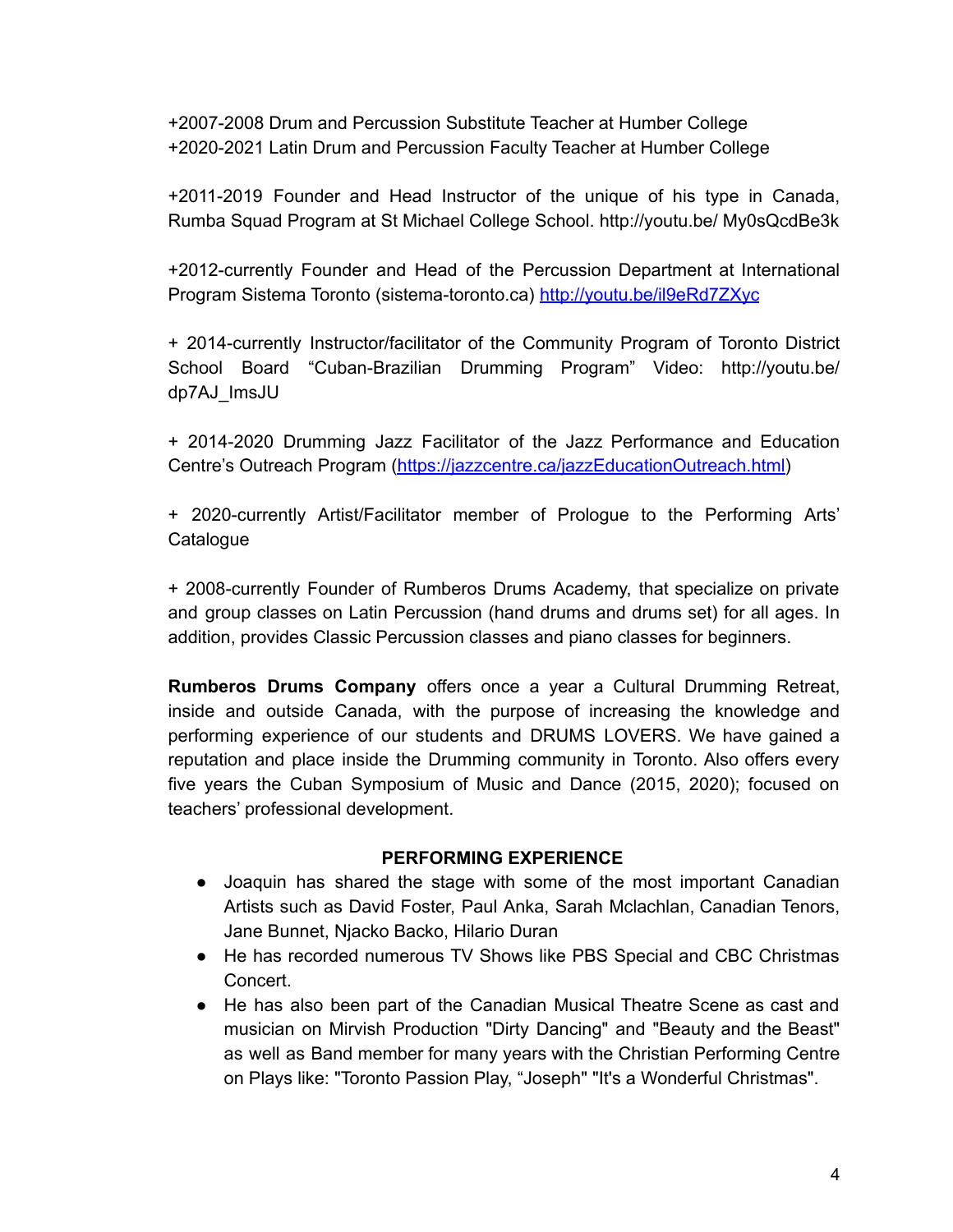+2007-2008 Drum and Percussion Substitute Teacher at Humber College +2020-2021 Latin Drum and Percussion Faculty Teacher at Humber College

+2011-2019 Founder and Head Instructor of the unique of his type in Canada, Rumba Squad Program at St Michael College School. http://youtu.be/ My0sQcdBe3k

+2012-currently Founder and Head of the Percussion Department at International Program Sistema Toronto (sistema-toronto.ca) <http://youtu.be/il9eRd7ZXyc>

+ 2014-currently Instructor/facilitator of the Community Program of Toronto District School Board "Cuban-Brazilian Drumming Program" Video: http://youtu.be/ dp7AJ\_ImsJU

+ 2014-2020 Drumming Jazz Facilitator of the Jazz Performance and Education Centre's Outreach Program [\(https://jazzcentre.ca/jazzEducationOutreach.html\)](https://jazzcentre.ca/jazzEducationOutreach.html)

+ 2020-currently Artist/Facilitator member of Prologue to the Performing Arts' **Catalogue** 

+ 2008-currently Founder of Rumberos Drums Academy, that specialize on private and group classes on Latin Percussion (hand drums and drums set) for all ages. In addition, provides Classic Percussion classes and piano classes for beginners.

**Rumberos Drums Company** offers once a year a Cultural Drumming Retreat, inside and outside Canada, with the purpose of increasing the knowledge and performing experience of our students and DRUMS LOVERS. We have gained a reputation and place inside the Drumming community in Toronto. Also offers every five years the Cuban Symposium of Music and Dance (2015, 2020); focused on teachers' professional development.

#### **PERFORMING EXPERIENCE**

- Joaquin has shared the stage with some of the most important Canadian Artists such as David Foster, Paul Anka, Sarah Mclachlan, Canadian Tenors, Jane Bunnet, Njacko Backo, Hilario Duran
- He has recorded numerous TV Shows like PBS Special and CBC Christmas Concert.
- He has also been part of the Canadian Musical Theatre Scene as cast and musician on Mirvish Production "Dirty Dancing" and "Beauty and the Beast" as well as Band member for many years with the Christian Performing Centre on Plays like: "Toronto Passion Play, "Joseph" "It's a Wonderful Christmas".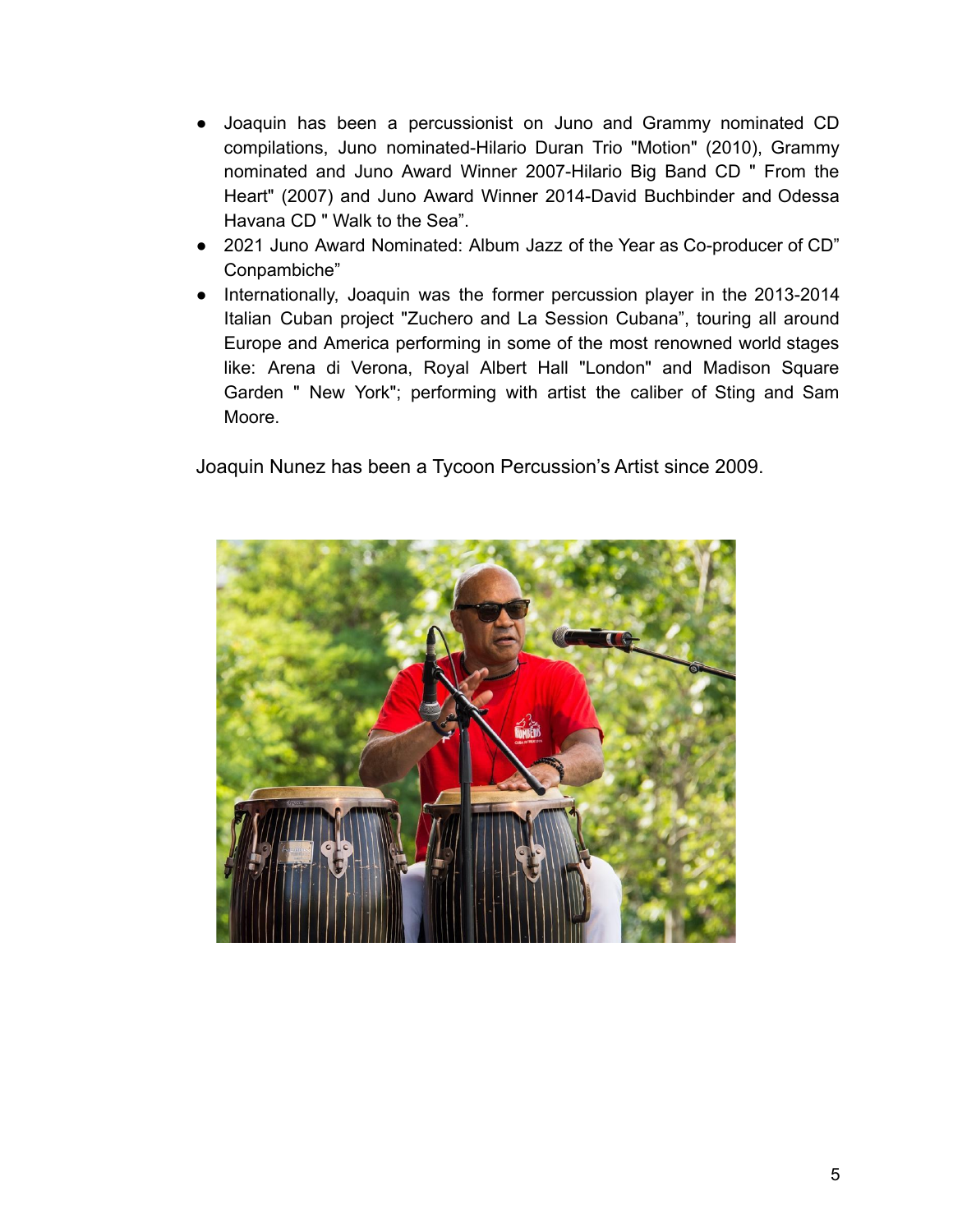- Joaquin has been a percussionist on Juno and Grammy nominated CD compilations, Juno nominated-Hilario Duran Trio "Motion" (2010), Grammy nominated and Juno Award Winner 2007-Hilario Big Band CD " From the Heart" (2007) and Juno Award Winner 2014-David Buchbinder and Odessa Havana CD " Walk to the Sea".
- 2021 Juno Award Nominated: Album Jazz of the Year as Co-producer of CD" Conpambiche"
- Internationally, Joaquin was the former percussion player in the 2013-2014 Italian Cuban project "Zuchero and La Session Cubana", touring all around Europe and America performing in some of the most renowned world stages like: Arena di Verona, Royal Albert Hall "London" and Madison Square Garden " New York"; performing with artist the caliber of Sting and Sam Moore.

Joaquin Nunez has been a Tycoon Percussion's Artist since 2009.

![](_page_4_Picture_4.jpeg)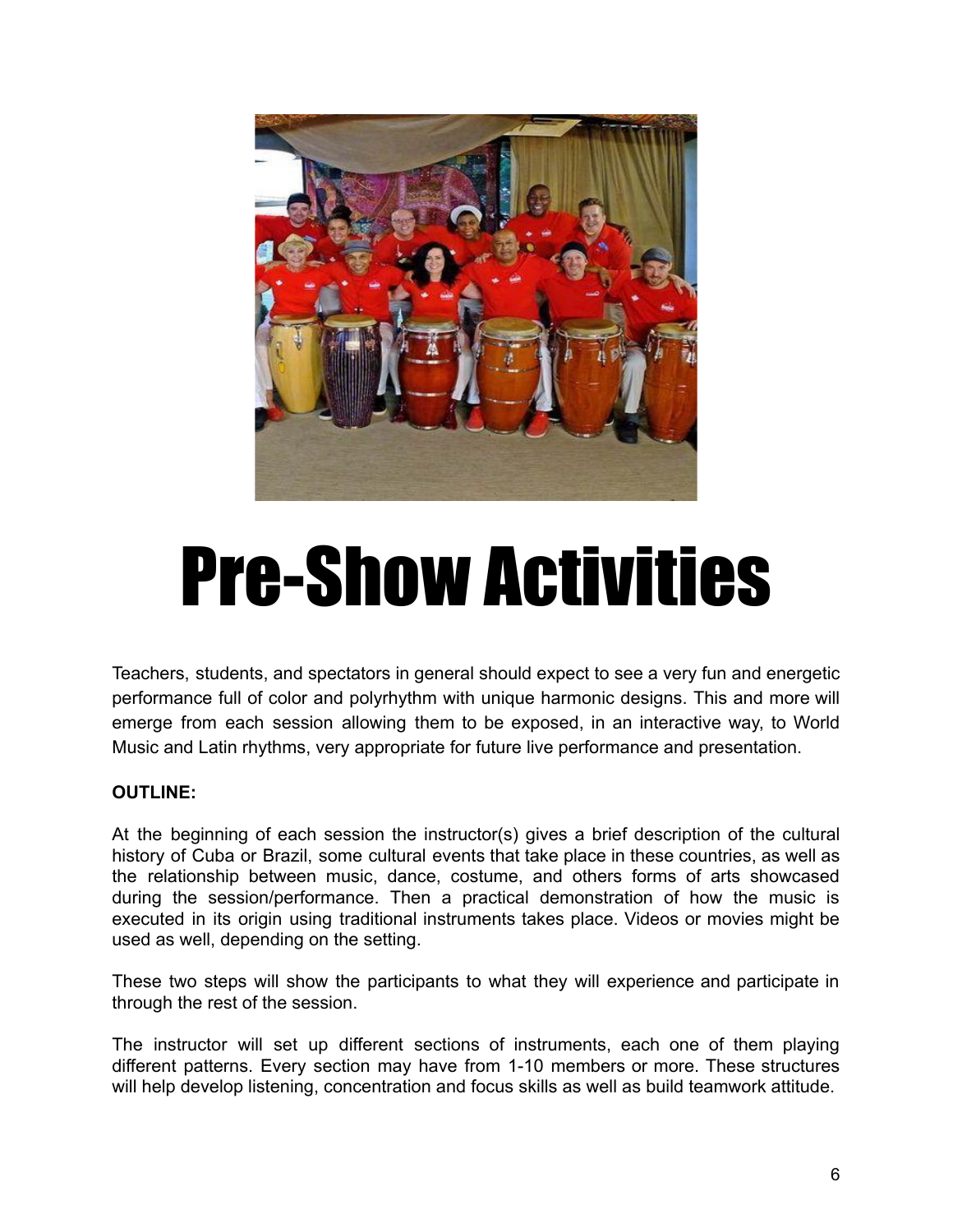![](_page_5_Picture_0.jpeg)

## Pre-Show Activities

Teachers, students, and spectators in general should expect to see a very fun and energetic performance full of color and polyrhythm with unique harmonic designs. This and more will emerge from each session allowing them to be exposed, in an interactive way, to World Music and Latin rhythms, very appropriate for future live performance and presentation.

#### **OUTLINE:**

At the beginning of each session the instructor(s) gives a brief description of the cultural history of Cuba or Brazil, some cultural events that take place in these countries, as well as the relationship between music, dance, costume, and others forms of arts showcased during the session/performance. Then a practical demonstration of how the music is executed in its origin using traditional instruments takes place. Videos or movies might be used as well, depending on the setting.

These two steps will show the participants to what they will experience and participate in through the rest of the session.

The instructor will set up different sections of instruments, each one of them playing different patterns. Every section may have from 1-10 members or more. These structures will help develop listening, concentration and focus skills as well as build teamwork attitude.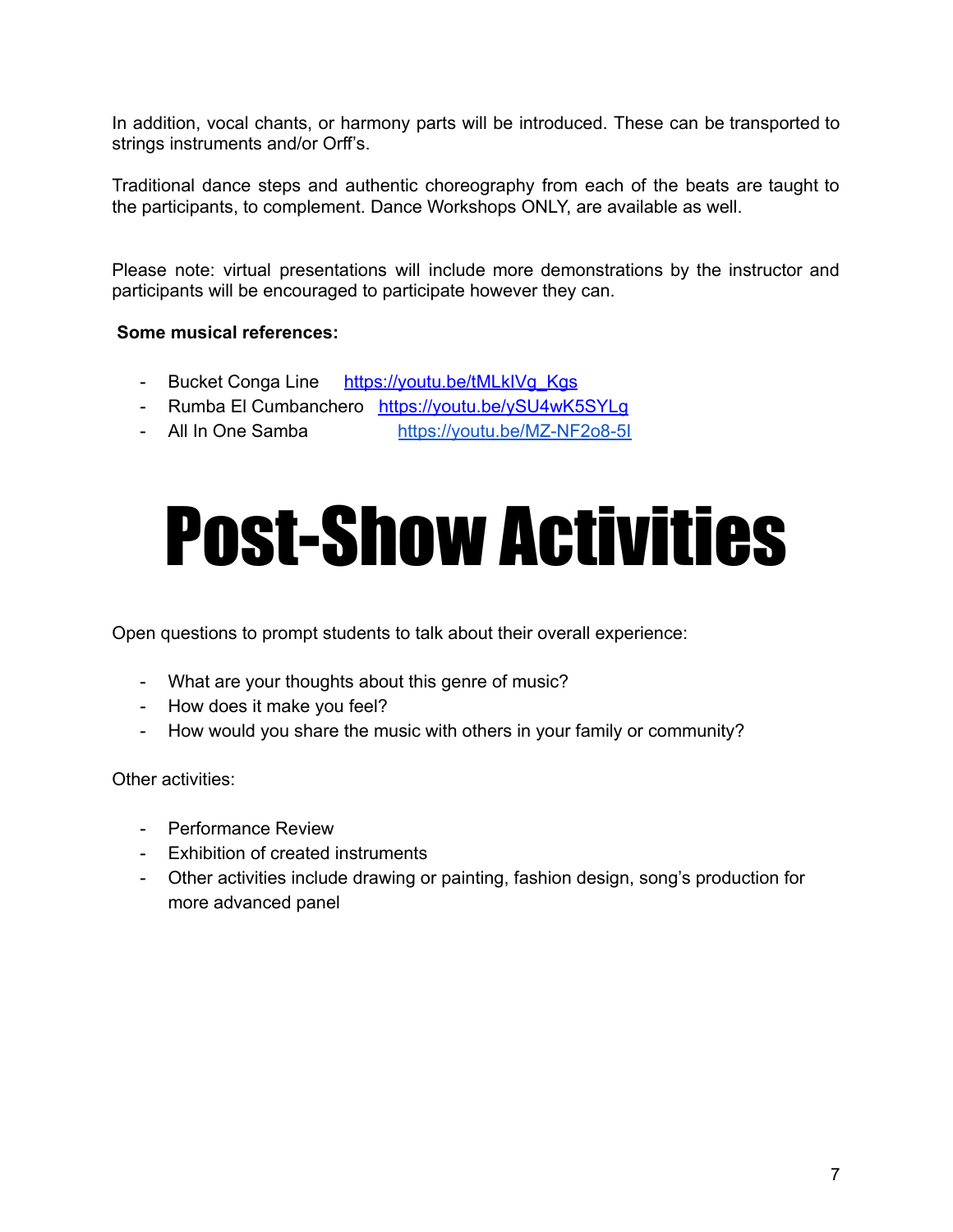In addition, vocal chants, or harmony parts will be introduced. These can be transported to strings instruments and/or Orff's.

Traditional dance steps and authentic choreography from each of the beats are taught to the participants, to complement. Dance Workshops ONLY, are available as well.

Please note: virtual presentations will include more demonstrations by the instructor and participants will be encouraged to participate however they can.

#### **Some musical references:**

- Bucket Conga Line [https://youtu.be/tMLkIVg\\_Kgs](https://youtu.be/tMLkIVg_Kgs)
- Rumba El Cumbanchero <https://youtu.be/ySU4wK5SYLg>
- All In One Samba <https://youtu.be/MZ-NF2o8-5I>

### Post-Show Activities

Open questions to prompt students to talk about their overall experience:

- What are your thoughts about this genre of music?
- How does it make you feel?
- How would you share the music with others in your family or community?

Other activities:

- Performance Review
- Exhibition of created instruments
- Other activities include drawing or painting, fashion design, song's production for more advanced panel